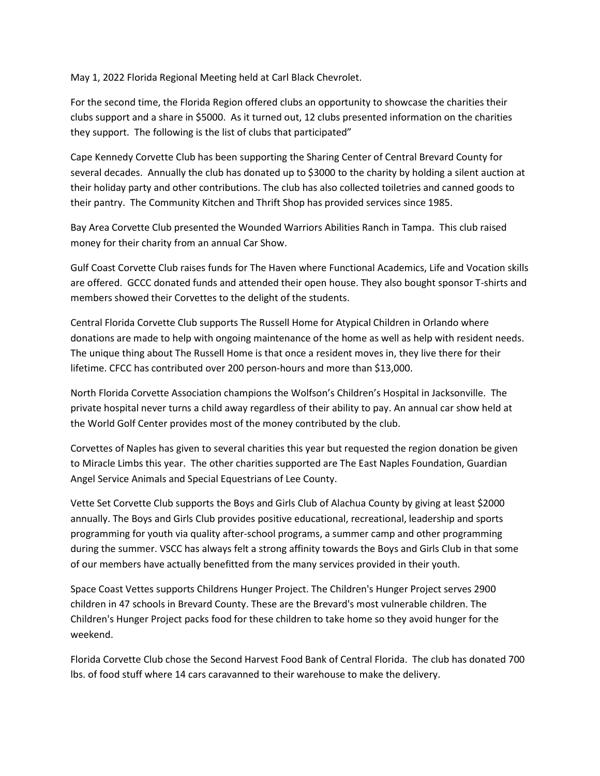May 1, 2022 Florida Regional Meeting held at Carl Black Chevrolet.

For the second time, the Florida Region offered clubs an opportunity to showcase the charities their clubs support and a share in \$5000. As it turned out, 12 clubs presented information on the charities they support. The following is the list of clubs that participated"

Cape Kennedy Corvette Club has been supporting the Sharing Center of Central Brevard County for several decades. Annually the club has donated up to \$3000 to the charity by holding a silent auction at their holiday party and other contributions. The club has also collected toiletries and canned goods to their pantry. The Community Kitchen and Thrift Shop has provided services since 1985.

Bay Area Corvette Club presented the Wounded Warriors Abilities Ranch in Tampa. This club raised money for their charity from an annual Car Show.

Gulf Coast Corvette Club raises funds for The Haven where Functional Academics, Life and Vocation skills are offered. GCCC donated funds and attended their open house. They also bought sponsor T-shirts and members showed their Corvettes to the delight of the students.

Central Florida Corvette Club supports The Russell Home for Atypical Children in Orlando where donations are made to help with ongoing maintenance of the home as well as help with resident needs. The unique thing about The Russell Home is that once a resident moves in, they live there for their lifetime. CFCC has contributed over 200 person-hours and more than \$13,000.

North Florida Corvette Association champions the Wolfson's Children's Hospital in Jacksonville. The private hospital never turns a child away regardless of their ability to pay. An annual car show held at the World Golf Center provides most of the money contributed by the club.

Corvettes of Naples has given to several charities this year but requested the region donation be given to Miracle Limbs this year. The other charities supported are The East Naples Foundation, Guardian Angel Service Animals and Special Equestrians of Lee County.

Vette Set Corvette Club supports the Boys and Girls Club of Alachua County by giving at least \$2000 annually. The Boys and Girls Club provides positive educational, recreational, leadership and sports programming for youth via quality after-school programs, a summer camp and other programming during the summer. VSCC has always felt a strong affinity towards the Boys and Girls Club in that some of our members have actually benefitted from the many services provided in their youth.

Space Coast Vettes supports Childrens Hunger Project. The Children's Hunger Project serves 2900 children in 47 schools in Brevard County. These are the Brevard's most vulnerable children. The Children's Hunger Project packs food for these children to take home so they avoid hunger for the weekend.

Florida Corvette Club chose the Second Harvest Food Bank of Central Florida. The club has donated 700 lbs. of food stuff where 14 cars caravanned to their warehouse to make the delivery.